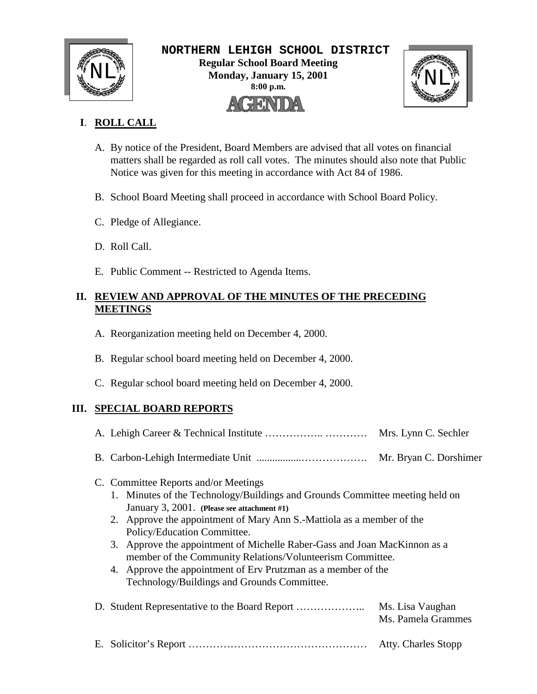

 **NORTHERN LEHIGH SCHOOL DISTRICT Regular School Board Meeting**  $\text{NLL}_{\text{M}}^{\text{M}}$  Regular School Board Meeting<br>Monday, January 15, 2001<br>8:00 p.m. **Monday, January 15, 2001 8:00 p.m.** AGENDA



# **I**. **ROLL CALL**

- A. By notice of the President, Board Members are advised that all votes on financial matters shall be regarded as roll call votes. The minutes should also note that Public Notice was given for this meeting in accordance with Act 84 of 1986.
- B. School Board Meeting shall proceed in accordance with School Board Policy.
- C. Pledge of Allegiance.
- D. Roll Call.
- E. Public Comment -- Restricted to Agenda Items.

# **II. REVIEW AND APPROVAL OF THE MINUTES OF THE PRECEDING MEETINGS**

- A. Reorganization meeting held on December 4, 2000.
- B. Regular school board meeting held on December 4, 2000.
- C. Regular school board meeting held on December 4, 2000.

# **III. SPECIAL BOARD REPORTS**

|                                                                                                                                                                                                                                    | Mrs. Lynn C. Sechler                                                                                                                                                                                                                                                                            |  |
|------------------------------------------------------------------------------------------------------------------------------------------------------------------------------------------------------------------------------------|-------------------------------------------------------------------------------------------------------------------------------------------------------------------------------------------------------------------------------------------------------------------------------------------------|--|
|                                                                                                                                                                                                                                    | Mr. Bryan C. Dorshimer                                                                                                                                                                                                                                                                          |  |
| C. Committee Reports and/or Meetings<br>January 3, 2001. (Please see attachment #1)<br>Policy/Education Committee.<br>4. Approve the appointment of Erv Prutzman as a member of the<br>Technology/Buildings and Grounds Committee. | 1. Minutes of the Technology/Buildings and Grounds Committee meeting held on<br>2. Approve the appointment of Mary Ann S.-Mattiola as a member of the<br>3. Approve the appointment of Michelle Raber-Gass and Joan MacKinnon as a<br>member of the Community Relations/Volunteerism Committee. |  |
|                                                                                                                                                                                                                                    | Ms. Lisa Vaughan<br>Ms. Pamela Grammes                                                                                                                                                                                                                                                          |  |
|                                                                                                                                                                                                                                    | Atty. Charles Stopp                                                                                                                                                                                                                                                                             |  |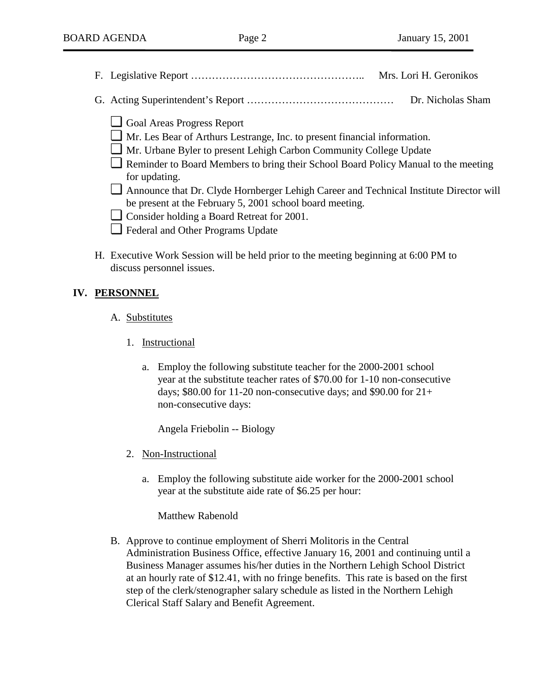- F. Legislative Report ………………………………………….. Mrs. Lori H. Geronikos
- G. Acting Superintendent's Report …………………………………… Dr. Nicholas Sham
	- ❏ Goal Areas Progress Report
	- ❏ Mr. Les Bear of Arthurs Lestrange, Inc. to present financial information.
	- ❏ Mr. Urbane Byler to present Lehigh Carbon Community College Update
	- ❏ Reminder to Board Members to bring their School Board Policy Manual to the meeting for updating.
	- ❏ Announce that Dr. Clyde Hornberger Lehigh Career and Technical Institute Director will be present at the February 5, 2001 school board meeting.
	- ❏ Consider holding a Board Retreat for 2001.
	- ❏ Federal and Other Programs Update
- H. Executive Work Session will be held prior to the meeting beginning at 6:00 PM to discuss personnel issues.

### **IV. PERSONNEL**

- A. Substitutes
	- 1. Instructional
		- a. Employ the following substitute teacher for the 2000-2001 school year at the substitute teacher rates of \$70.00 for 1-10 non-consecutive days; \$80.00 for 11-20 non-consecutive days; and \$90.00 for  $21+$ non-consecutive days:

Angela Friebolin -- Biology

- 2. Non-Instructional
	- a. Employ the following substitute aide worker for the 2000-2001 school year at the substitute aide rate of \$6.25 per hour:

Matthew Rabenold

B. Approve to continue employment of Sherri Molitoris in the Central Administration Business Office, effective January 16, 2001 and continuing until a Business Manager assumes his/her duties in the Northern Lehigh School District at an hourly rate of \$12.41, with no fringe benefits. This rate is based on the first step of the clerk/stenographer salary schedule as listed in the Northern Lehigh Clerical Staff Salary and Benefit Agreement.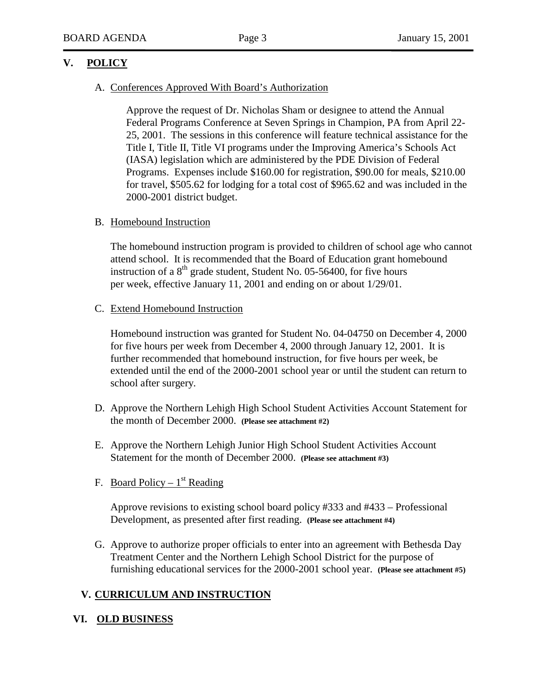## **V. POLICY**

#### A. Conferences Approved With Board's Authorization

Approve the request of Dr. Nicholas Sham or designee to attend the Annual Federal Programs Conference at Seven Springs in Champion, PA from April 22- 25, 2001. The sessions in this conference will feature technical assistance for the Title I, Title II, Title VI programs under the Improving America's Schools Act (IASA) legislation which are administered by the PDE Division of Federal Programs. Expenses include \$160.00 for registration, \$90.00 for meals, \$210.00 for travel, \$505.62 for lodging for a total cost of \$965.62 and was included in the 2000-2001 district budget.

### B. Homebound Instruction

The homebound instruction program is provided to children of school age who cannot attend school. It is recommended that the Board of Education grant homebound instruction of a  $8<sup>th</sup>$  grade student, Student No. 05-56400, for five hours per week, effective January 11, 2001 and ending on or about 1/29/01.

### C. Extend Homebound Instruction

Homebound instruction was granted for Student No. 04-04750 on December 4, 2000 for five hours per week from December 4, 2000 through January 12, 2001. It is further recommended that homebound instruction, for five hours per week, be extended until the end of the 2000-2001 school year or until the student can return to school after surgery.

- D. Approve the Northern Lehigh High School Student Activities Account Statement for the month of December 2000. **(Please see attachment #2)**
- E. Approve the Northern Lehigh Junior High School Student Activities Account Statement for the month of December 2000. **(Please see attachment #3)**
- F. Board Policy  $1<sup>st</sup>$  Reading

Approve revisions to existing school board policy #333 and #433 – Professional Development, as presented after first reading. **(Please see attachment #4)**

G. Approve to authorize proper officials to enter into an agreement with Bethesda Day Treatment Center and the Northern Lehigh School District for the purpose of furnishing educational services for the 2000-2001 school year. **(Please see attachment #5)**

# **V. CURRICULUM AND INSTRUCTION**

### **VI. OLD BUSINESS**